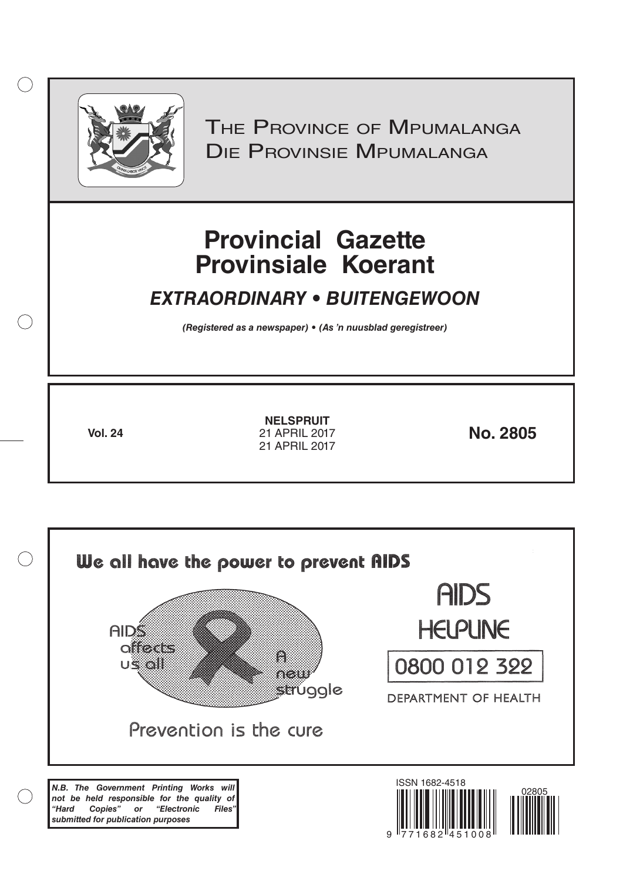

 $( )$ 

THE PROVINCE OF MPUMALANGA Die Provinsie Mpumalanga

# **Provincial Gazette Provinsiale Koerant**

# *EXTRAORDINARY • BUITENGEWOON*

*(Registered as a newspaper) • (As 'n nuusblad geregistreer)*

**Vol. 24 No. 2805 NELSPRUIT** 21 APRIL 2017 21 APRIL 2017

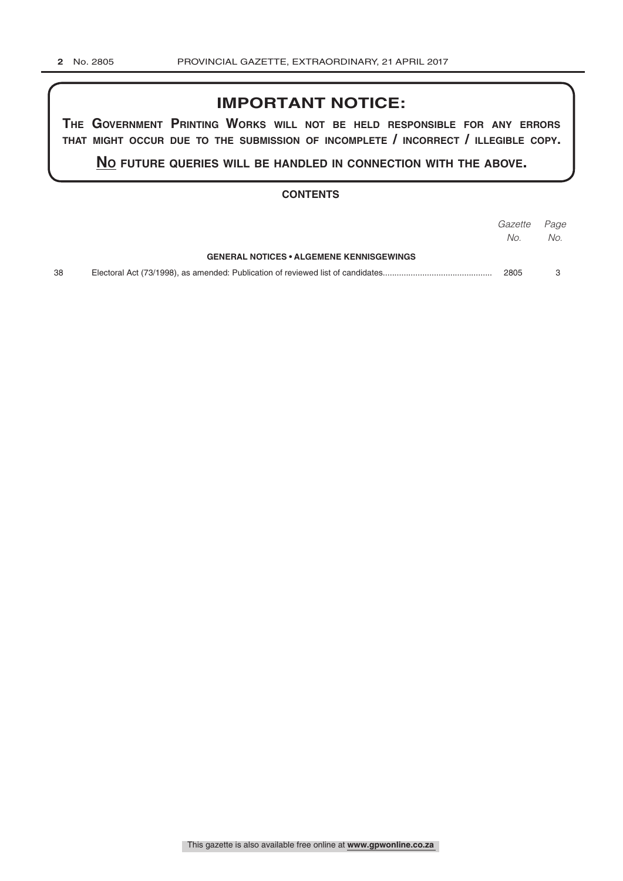# **IMPORTANT NOTICE:**

**The GovernmenT PrinTinG Works Will noT be held resPonsible for any errors ThaT miGhT occur due To The submission of incomPleTe / incorrecT / illeGible coPy.**

**no fuTure queries Will be handled in connecTion WiTh The above.**

#### **CONTENTS**

|    |                                                 | <i>Gazette Page</i> |     |
|----|-------------------------------------------------|---------------------|-----|
|    |                                                 | No.                 | No. |
|    | <b>GENERAL NOTICES • ALGEMENE KENNISGEWINGS</b> |                     |     |
| 38 |                                                 | 2805                |     |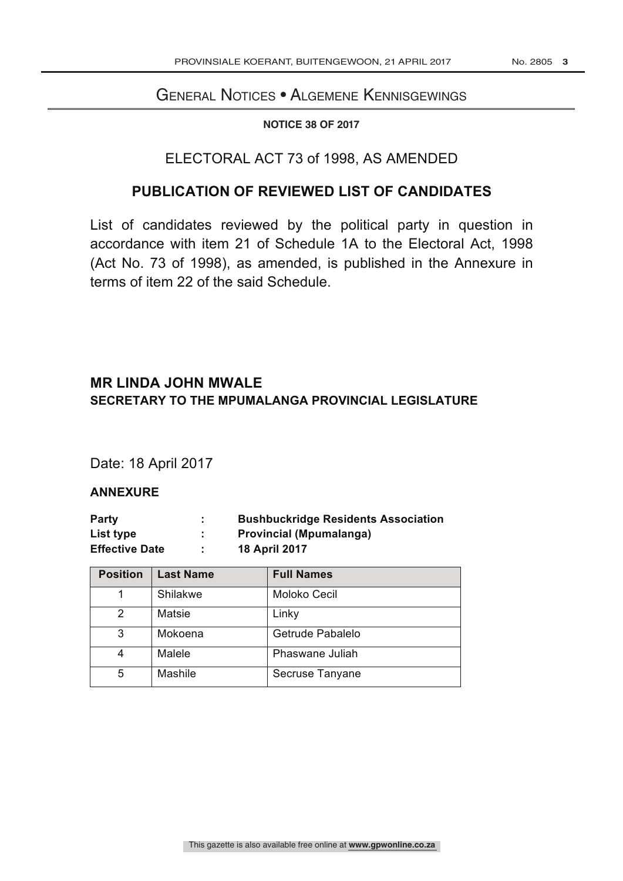# General Notices • Algemene Kennisgewings

#### **NOTICE 38 OF 2017**

## ELECTORAL ACT 73 of 1998, AS AMENDED

### **PUBLICATION OF REVIEWED LIST OF CANDIDATES**

List of candidates reviewed by the political party in question in accordance with item 21 of Schedule 1A to the Electoral Act, 1998 (Act No. 73 of 1998), as amended, is published in the Annexure in terms of item 22 of the said Schedule.

# **MR LINDA JOHN MWALE SECRETARY TO THE MPUMALANGA PROVINCIAL LEGISLATURE**

Date: 18 April 2017

#### **ANNEXURE**

| <b>Party</b>          | <b>Bushbuckridge Residents Association</b> |
|-----------------------|--------------------------------------------|
| List type             | <b>Provincial (Mpumalanga)</b>             |
| <b>Effective Date</b> | <b>18 April 2017</b>                       |

| <b>Position</b> | <b>Last Name</b> | <b>Full Names</b> |
|-----------------|------------------|-------------------|
|                 | Shilakwe         | Moloko Cecil      |
| 2               | Matsie           | Linky             |
| 3               | Mokoena          | Getrude Pabalelo  |
| 4               | Malele           | Phaswane Juliah   |
| 5               | Mashile          | Secruse Tanyane   |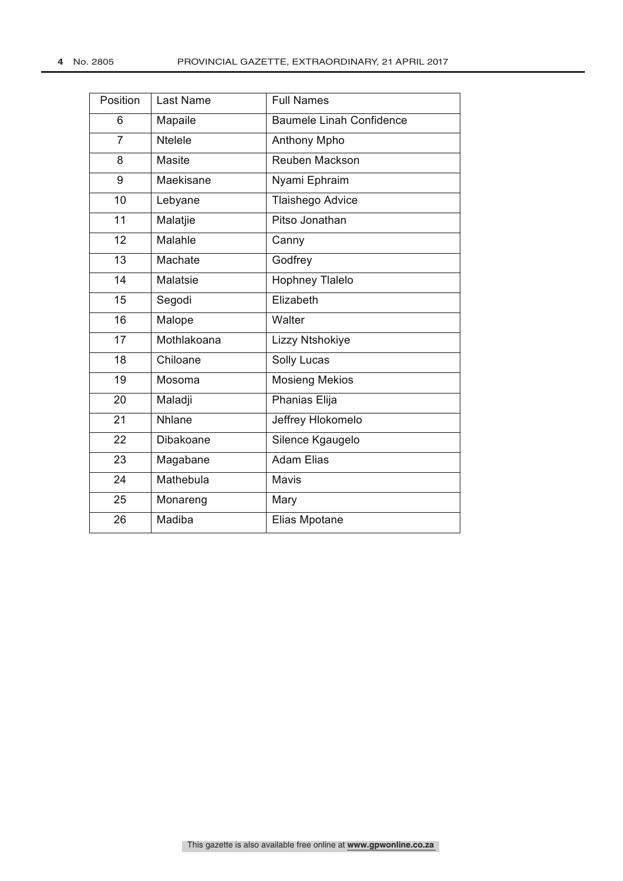| Position        | <b>Last Name</b> | <b>Full Names</b>               |
|-----------------|------------------|---------------------------------|
| 6               | Mapaile          | <b>Baumele Linah Confidence</b> |
| $\overline{7}$  | <b>Ntelele</b>   | Anthony Mpho                    |
| 8               | <b>Masite</b>    | Reuben Mackson                  |
| 9               | Maekisane        | Nyami Ephraim                   |
| 10              | Lebyane          | Tlaishego Advice                |
| 11              | Malatjie         | Pitso Jonathan                  |
| 12              | Malahle          | Canny                           |
| 13              | Machate          | Godfrey                         |
| 14              | Malatsie         | Hophney Tlalelo                 |
| 15              | Segodi           | Elizabeth                       |
| 16              | Malope           | Walter                          |
| $\overline{17}$ | Mothlakoana      | Lizzy Ntshokiye                 |
| 18              | Chiloane         | Solly Lucas                     |
| 19              | Mosoma           | <b>Mosieng Mekios</b>           |
| 20              | Maladji          | Phanias Elija                   |
| $\overline{21}$ | <b>Nhlane</b>    | Jeffrey Hlokomelo               |
| 22              | Dibakoane        | Silence Kgaugelo                |
| 23              | Magabane         | <b>Adam Elias</b>               |
| 24              | Mathebula        | Mavis                           |
| 25              | Monareng         | Mary                            |
| 26              | Madiba           | Elias Mpotane                   |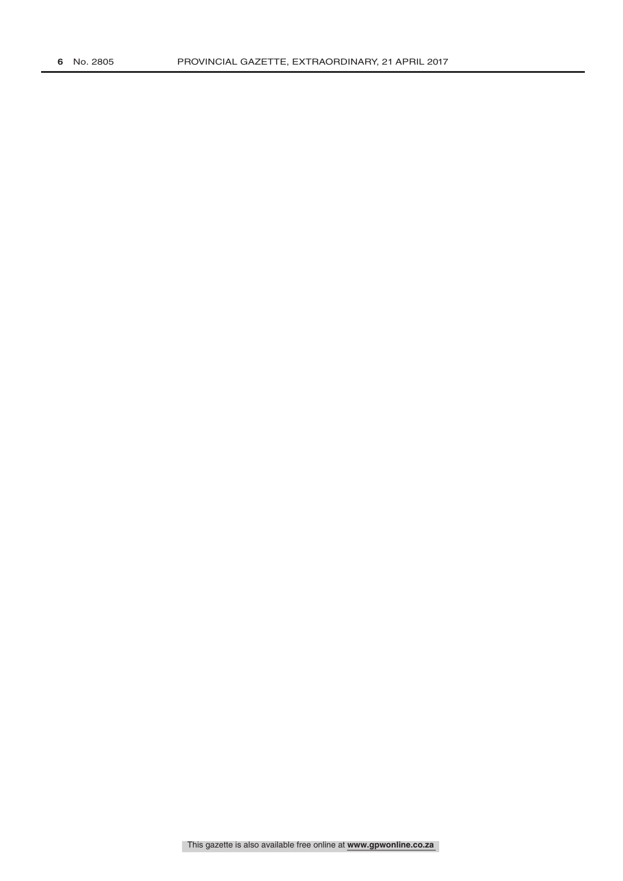This gazette is also available free online at **www.gpwonline.co.za**